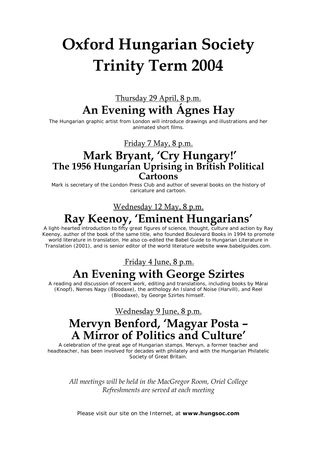# **Oxford Hungarian Society Trinity Term 2004**

### Thursday 29 April, 8 p.m. **An Evening with Ágnes Hay**

The Hungarian graphic artist from London will introduce drawings and illustrations and her animated short films.

Friday 7 May, 8 p.m.

### **Mark Bryant, 'Cry Hungary!' The 1956 Hungarian Uprising in British Political Cartoons**

Mark is secretary of the London Press Club and author of several books on the history of caricature and cartoon.

#### Wednesday 12 May, 8 p.m.

# **Ray Keenoy, 'Eminent Hungarians'**

A light-hearted introduction to fifty great figures of science, thought, culture and action by Ray Keenoy, author of the book of the same title, who founded Boulevard Books in 1994 to promote world literature in translation. He also co-edited the Babel Guide to Hungarian Literature in Translation (2001), and is senior editor of the world literature website www.babelguides.com.

## Friday 4 June, 8 p.m. **An Evening with George Szirtes**

A reading and discussion of recent work, editing and translations, including books by Márai (Knopf), Nemes Nagy (Bloodaxe), the anthology An Island of Noise (Harvill), and Reel (Bloodaxe), by George Szirtes himself.

Wednesday 9 June, 8 p.m.

# **Mervyn Benford, 'Magyar Posta – A Mirror of Politics and Culture'**

A celebration of the great age of Hungarian stamps. Mervyn, a former teacher and headteacher, has been involved for decades with philately and with the Hungarian Philatelic Society of Great Britain.

*All meetings will be held in the MacGregor Room, Oriel College Refreshments are served at each meeting*

Please visit our site on the Internet, at **www.hungsoc.com**